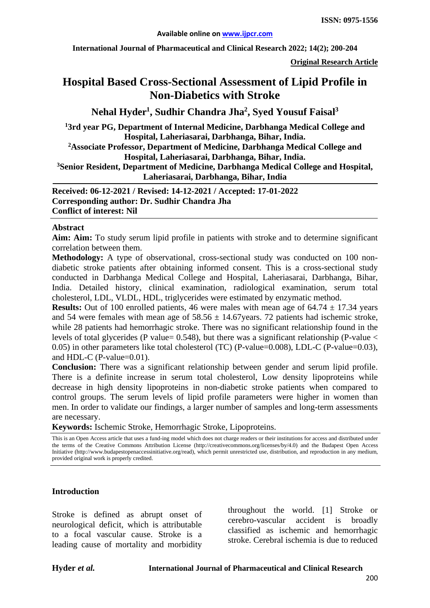**International Journal of Pharmaceutical and Clinical Research 2022; 14(2); 200-204**

**Original Research Article**

# **Hospital Based Cross-Sectional Assessment of Lipid Profile in Non-Diabetics with Stroke**

## **Nehal Hyder1 , Sudhir Chandra Jha2 , Syed Yousuf Faisal3**

**13rd year PG, Department of Internal Medicine, Darbhanga Medical College and Hospital, Laheriasarai, Darbhanga, Bihar, India.**

**2 Associate Professor, Department of Medicine, Darbhanga Medical College and Hospital, Laheriasarai, Darbhanga, Bihar, India.**

**3 Senior Resident, Department of Medicine, Darbhanga Medical College and Hospital, Laheriasarai, Darbhanga, Bihar, India**

**Received: 06-12-2021 / Revised: 14-12-2021 / Accepted: 17-01-2022 Corresponding author: Dr. Sudhir Chandra Jha Conflict of interest: Nil**

#### **Abstract**

**Aim: Aim:** To study serum lipid profile in patients with stroke and to determine significant correlation between them.

**Methodology:** A type of observational, cross-sectional study was conducted on 100 nondiabetic stroke patients after obtaining informed consent. This is a cross-sectional study conducted in Darbhanga Medical College and Hospital, Laheriasarai, Darbhanga, Bihar, India. Detailed history, clinical examination, radiological examination, serum total cholesterol, LDL, VLDL, HDL, triglycerides were estimated by enzymatic method.

**Results:** Out of 100 enrolled patients, 46 were males with mean age of  $64.74 \pm 17.34$  years and 54 were females with mean age of  $58.56 \pm 14.67$  years. 72 patients had ischemic stroke, while 28 patients had hemorrhagic stroke. There was no significant relationship found in the levels of total glycerides (P value=  $0.548$ ), but there was a significant relationship (P-value  $\lt$ 0.05) in other parameters like total cholesterol (TC) (P-value=0.008), LDL-C (P-value=0.03), and HDL-C (P-value=0.01).

**Conclusion:** There was a significant relationship between gender and serum lipid profile. There is a definite increase in serum total cholesterol, Low density lipoproteins while decrease in high density lipoproteins in non-diabetic stroke patients when compared to control groups. The serum levels of lipid profile parameters were higher in women than men. In order to validate our findings, a larger number of samples and long-term assessments are necessary.

**Keywords:** Ischemic Stroke, Hemorrhagic Stroke, Lipoproteins.

This is an Open Access article that uses a fund-ing model which does not charge readers or their institutions for access and distributed under the terms of the Creative Commons Attribution License (http://creativecommons.org/licenses/by/4.0) and the Budapest Open Access Initiative (http://www.budapestopenaccessinitiative.org/read), which permit unrestricted use, distribution, and reproduction in any medium, provided original work is properly credited.

#### **Introduction**

Stroke is defined as abrupt onset of neurological deficit, which is attributable to a focal vascular cause. Stroke is a leading cause of mortality and morbidity

throughout the world. [1] Stroke or cerebro-vascular accident is broadly classified as ischemic and hemorrhagic stroke. Cerebral ischemia is due to reduced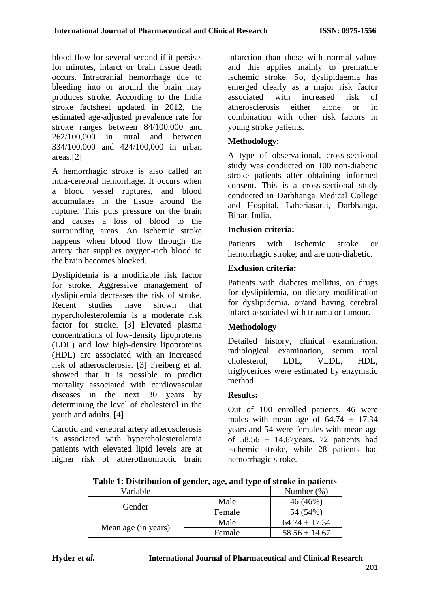blood flow for several second if it persists for minutes, infarct or brain tissue death occurs. Intracranial hemorrhage due to bleeding into or around the brain may produces stroke. According to the India stroke factsheet updated in 2012, the estimated age-adjusted prevalence rate for stroke ranges between 84/100,000 and 262/100,000 in rural and between 334/100,000 and 424/100,000 in urban areas.[2]

A hemorrhagic stroke is also called an intra-cerebral hemorrhage. It occurs when a blood vessel ruptures, and blood accumulates in the tissue around the rupture. This puts pressure on the brain and causes a loss of blood to the surrounding areas. An ischemic stroke happens when blood flow through the artery that supplies oxygen-rich blood to the brain becomes blocked.

Dyslipidemia is a modifiable risk factor for stroke. Aggressive management of dyslipidemia decreases the risk of stroke. Recent studies have shown that hypercholesterolemia is a moderate risk factor for stroke. [3] Elevated plasma concentrations of low-density lipoproteins (LDL) and low high-density lipoproteins (HDL) are associated with an increased risk of atherosclerosis. [3] Freiberg et al. showed that it is possible to predict mortality associated with cardiovascular diseases in the next 30 years by determining the level of cholesterol in the youth and adults. [4]

Carotid and vertebral artery atherosclerosis is associated with hypercholesterolemia patients with elevated lipid levels are at higher risk of atherothrombotic brain infarction than those with normal values and this applies mainly to premature ischemic stroke. So, dyslipidaemia has emerged clearly as a major risk factor associated with increased risk of<br>atherosclerosis either alone or in atherosclerosis either alone or in combination with other risk factors in young stroke patients.

#### **Methodology:**

A type of observational, cross-sectional study was conducted on 100 non-diabetic stroke patients after obtaining informed consent. This is a cross-sectional study conducted in Darbhanga Medical College and Hospital, Laheriasarai, Darbhanga, Bihar, India.

#### **Inclusion criteria:**

Patients with ischemic stroke or hemorrhagic stroke; and are non-diabetic.

#### **Exclusion criteria:**

Patients with diabetes mellitus, on drugs for dyslipidemia, on dietary modification for dyslipidemia, or/and having cerebral infarct associated with trauma or tumour.

## **Methodology**

Detailed history, clinical examination, radiological examination, serum total cholesterol, LDL, VLDL, HDL, triglycerides were estimated by enzymatic method.

#### **Results:**

Out of 100 enrolled patients, 46 were males with mean age of  $64.74 \pm 17.34$ years and 54 were females with mean age of  $58.56 \pm 14.67$  vears. 72 patients had ischemic stroke, while 28 patients had hemorrhagic stroke.

| Table 1: Distribution of gender, age, and type of stroke in patients |  |  |
|----------------------------------------------------------------------|--|--|
|                                                                      |  |  |

| Variable            |        | Number $(\%)$     |
|---------------------|--------|-------------------|
| Gender              | Male   | 46 (46%)          |
|                     | Female | 54 (54%)          |
| Mean age (in years) | Male   | $64.74 \pm 17.34$ |
|                     | Female | $58.56 \pm 14.67$ |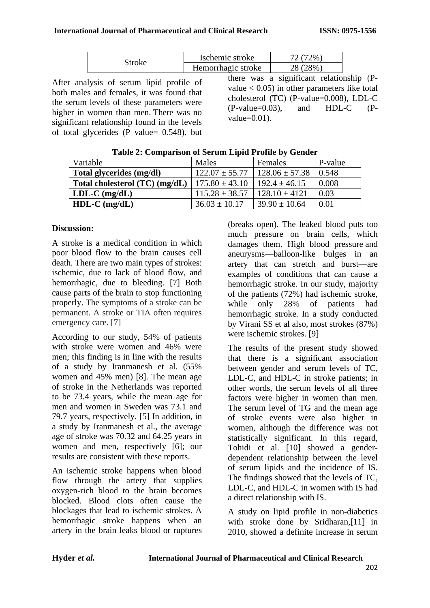| Stroke | Ischemic stroke    | $12\%$   |
|--------|--------------------|----------|
|        | Hemorrhagic stroke | 28 (28%) |

After analysis of serum lipid profile of both males and females, it was found that the serum levels of these parameters were higher in women than men. There was no significant relationship found in the levels of total glycerides ( $\overline{P}$  value= 0.548). but there was a significant relationship (Pvalue  $< 0.05$ ) in other parameters like total cholesterol (TC) (P-value=0.008), LDL-C (P-value=0.03), and HDL-C (Pvalue=0.01).

| Variable                       | Males              | Females            | P-value |
|--------------------------------|--------------------|--------------------|---------|
| Total glycerides (mg/dl)       | $122.07 \pm 55.77$ | $128.06 \pm 57.38$ | 0.548   |
| Total cholesterol (TC) (mg/dL) | $175.80 \pm 43.10$ | $192.4 \pm 46.15$  | 0.008   |
| $LDL-C$ (mg/dL)                | $115.28 \pm 38.57$ | $128.10 \pm 4121$  | 0.03    |
| $HDL-C$ (mg/dL)                | $36.03 \pm 10.17$  | $39.90 \pm 10.64$  | 0.01    |

| Table 2: Comparison of Serum Lipid Profile by Gender |  |  |
|------------------------------------------------------|--|--|
|                                                      |  |  |

#### **Discussion:**

A stroke is a medical condition in which poor blood flow to the brain causes cell death. There are two main types of strokes: ischemic, due to lack of blood flow, and hemorrhagic, due to bleeding. [7] Both cause parts of the brain to stop functioning properly. The symptoms of a stroke can be permanent. A stroke or TIA often requires emergency care. [7]

According to our study, 54% of patients with stroke were women and 46% were men; this finding is in line with the results of a study by Iranmanesh et al. (55% women and 45% men) [8]. The mean age of stroke in the Netherlands was reported to be 73.4 years, while the mean age for men and women in Sweden was 73.1 and 79.7 years, respectively. [5] In addition, in a study by Iranmanesh et al., the average age of stroke was 70.32 and 64.25 years in women and men, respectively [6]; our results are consistent with these reports.

An ischemic stroke happens when blood flow through the artery that supplies oxygen-rich blood to the brain becomes blocked. Blood clots often cause the blockages that lead to ischemic strokes. A hemorrhagic stroke happens when an artery in the brain leaks blood or ruptures

(breaks open). The leaked blood puts too much pressure on brain cells, which damages them. High blood pressure and aneurysms—balloon-like bulges in an artery that can stretch and burst—are examples of conditions that can cause a hemorrhagic stroke. In our study, majority of the patients (72%) had ischemic stroke, while only 28% of patients had hemorrhagic stroke. In a study conducted by Virani SS et al also, most strokes (87%) were ischemic strokes. [9]

The results of the present study showed that there is a significant association between gender and serum levels of TC, LDL-C, and HDL-C in stroke patients; in other words, the serum levels of all three factors were higher in women than men. The serum level of TG and the mean age of stroke events were also higher in women, although the difference was not statistically significant. In this regard, Tohidi et al. [10] showed a genderdependent relationship between the level of serum lipids and the incidence of IS. The findings showed that the levels of TC, LDL-C, and HDL-C in women with IS had a direct relationship with IS.

A study on lipid profile in non-diabetics with stroke done by Sridharan,[11] in 2010, showed a definite increase in serum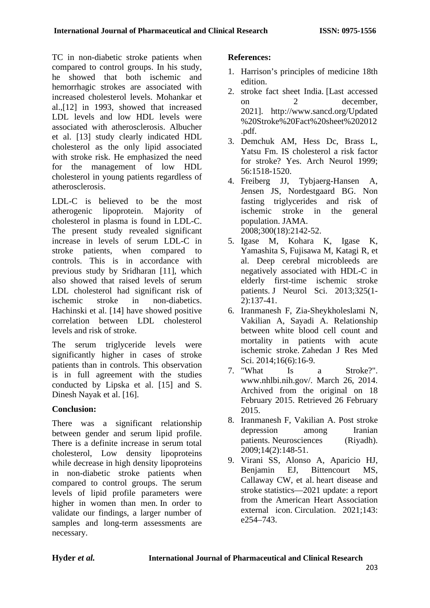TC in non-diabetic stroke patients when compared to control groups. In his study, he showed that both ischemic and hemorrhagic strokes are associated with increased cholesterol levels. Mohankar et al.,[12] in 1993, showed that increased LDL levels and low HDL levels were associated with atherosclerosis. Albucher et al. [13] study clearly indicated HDL cholesterol as the only lipid associated with stroke risk. He emphasized the need for the management of low HDL cholesterol in young patients regardless of atherosclerosis.

LDL-C is believed to be the most atherogenic lipoprotein. Majority of cholesterol in plasma is found in LDL-C. The present study revealed significant increase in levels of serum LDL-C in stroke patients, when compared to controls. This is in accordance with previous study by Sridharan [11], which also showed that raised levels of serum LDL cholesterol had significant risk of ischemic stroke in non-diabetics. Hachinski et al. [14] have showed positive correlation between LDL cholesterol levels and risk of stroke.

The serum triglyceride levels were significantly higher in cases of stroke patients than in controls. This observation is in full agreement with the studies conducted by Lipska et al. [15] and S. Dinesh Nayak et al. [16].

## **Conclusion:**

There was a significant relationship between gender and serum lipid profile. There is a definite increase in serum total cholesterol, Low density lipoproteins while decrease in high density lipoproteins in non-diabetic stroke patients when compared to control groups. The serum levels of lipid profile parameters were higher in women than men. In order to validate our findings, a larger number of samples and long-term assessments are necessary.

#### **References:**

- 1. Harrison's principles of medicine 18th edition.
- 2. stroke fact sheet India. [Last accessed on 2 december, 2021]. [http://www.sancd.org/Updated](http://www.sancd.org/Updated%20Stroke%20Fact%20sheet%202012.pdf) [%20Stroke%20Fact%20sheet%202012](http://www.sancd.org/Updated%20Stroke%20Fact%20sheet%202012.pdf) [.pdf.](http://www.sancd.org/Updated%20Stroke%20Fact%20sheet%202012.pdf)
- 3. Demchuk AM, Hess Dc, Brass L, Yatsu Fm. IS cholesterol a risk factor for stroke? Yes. Arch Neurol 1999; 56:1518-1520.
- 4. Freiberg JJ, Tybjaerg-Hansen A, Jensen JS, Nordestgaard BG. Non fasting triglycerides and risk of ischemic stroke in the general population. JAMA. 2008;300(18):2142-52.
- 5. Igase M, Kohara K, Igase K, Yamashita S, Fujisawa M, Katagi R, et al. Deep cerebral microbleeds are negatively associated with HDL-C in elderly first-time ischemic stroke patients. J Neurol Sci. 2013;325(1- 2):137-41.
- 6. Iranmanesh F, Zia-Sheykholeslami N, Vakilian A, Sayadi A. Relationship between white blood cell count and mortality in patients with acute ischemic stroke. Zahedan J Res Med Sci. 2014:16(6):16-9.
- 7. "What Is a Stroke?". www.nhlbi.nih.gov/. March 26, 2014. Archived from the original on 18 February 2015. Retrieved 26 February 2015.
- 8. Iranmanesh F, Vakilian A. Post stroke depression among Iranian patients. Neurosciences (Riyadh). 2009;14(2):148-51.
- 9. Virani SS, Alonso A, Aparicio HJ, Benjamin EJ, Bittencourt MS, Callaway CW, et al. heart [disease and](https://doi.org/10.1161/CIR.0000000000000950)  [stroke statistics—2021 update: a report](https://doi.org/10.1161/CIR.0000000000000950)  [from the American Heart Association](https://doi.org/10.1161/CIR.0000000000000950) [external icon.](https://doi.org/10.1161/CIR.0000000000000950) Circulation. 2021;143: e254–743.